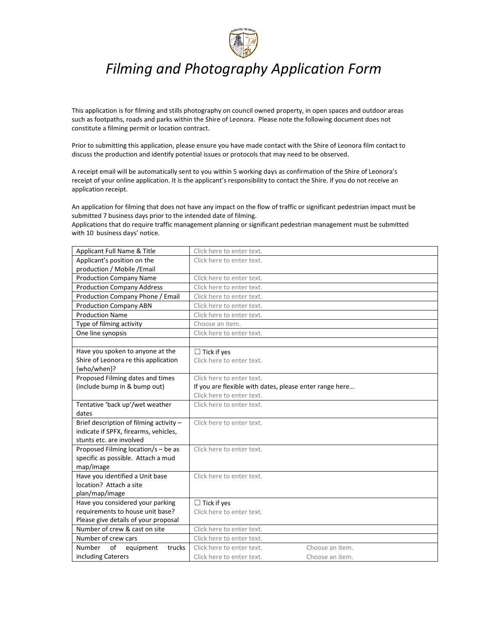

# *Filming and Photography Application Form*

This application is for filming and stills photography on council owned property, in open spaces and outdoor areas such as footpaths, roads and parks within the Shire of Leonora. Please note the following document does not constitute a filming permit or location contract.

Prior to submitting this application, please ensure you have made contact with the Shire of Leonora film contact to discuss the production and identify potential issues or protocols that may need to be observed.

A receipt email will be automatically sent to you within 5 working days as confirmation of the Shire of Leonora's receipt of your online application. It is the applicant's responsibility to contact the Shire. if you do not receive an application receipt.

An application for filming that does not have any impact on the flow of traffic or significant pedestrian impact must be submitted 7 business days prior to the intended date of filming.

Applications that do require traffic management planning or significant pedestrian management must be submitted with 10 business days' notice.

| Applicant Full Name & Title             | Click here to enter text.                               |                 |
|-----------------------------------------|---------------------------------------------------------|-----------------|
| Applicant's position on the             | Click here to enter text.                               |                 |
| production / Mobile / Email             |                                                         |                 |
| <b>Production Company Name</b>          | Click here to enter text.                               |                 |
| <b>Production Company Address</b>       | Click here to enter text.                               |                 |
| Production Company Phone / Email        | Click here to enter text.                               |                 |
| <b>Production Company ABN</b>           | Click here to enter text.                               |                 |
| <b>Production Name</b>                  | Click here to enter text.                               |                 |
| Type of filming activity                | Choose an item.                                         |                 |
| One line synopsis                       | Click here to enter text.                               |                 |
|                                         |                                                         |                 |
| Have you spoken to anyone at the        | $\Box$ Tick if yes                                      |                 |
| Shire of Leonora re this application    | Click here to enter text.                               |                 |
| {who/when}?                             |                                                         |                 |
| Proposed Filming dates and times        | Click here to enter text.                               |                 |
| (include bump in & bump out)            | If you are flexible with dates, please enter range here |                 |
|                                         | Click here to enter text.                               |                 |
| Tentative 'back up'/wet weather         | Click here to enter text.                               |                 |
| dates                                   |                                                         |                 |
| Brief description of filming activity - | Click here to enter text.                               |                 |
| indicate if SPFX, firearms, vehicles,   |                                                         |                 |
| stunts etc. are involved                |                                                         |                 |
| Proposed Filming location/s - be as     | Click here to enter text.                               |                 |
| specific as possible. Attach a mud      |                                                         |                 |
| map/image                               |                                                         |                 |
| Have you identified a Unit base         | Click here to enter text.                               |                 |
| location? Attach a site                 |                                                         |                 |
| plan/map/image                          |                                                         |                 |
| Have you considered your parking        | $\Box$ Tick if yes                                      |                 |
| requirements to house unit base?        | Click here to enter text.                               |                 |
| Please give details of your proposal    |                                                         |                 |
| Number of crew & cast on site           | Click here to enter text.                               |                 |
| Number of crew cars                     | Click here to enter text.                               |                 |
| Number<br>of<br>equipment<br>trucks     | Click here to enter text.                               | Choose an item. |
| including Caterers                      | Click here to enter text.                               | Choose an item. |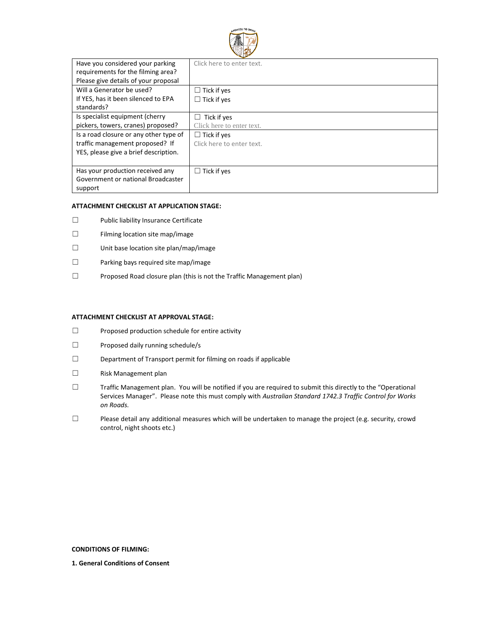

| Have you considered your parking       | Click here to enter text. |
|----------------------------------------|---------------------------|
| requirements for the filming area?     |                           |
| Please give details of your proposal   |                           |
| Will a Generator be used?              | $\Box$ Tick if yes        |
| If YES, has it been silenced to EPA    | $\Box$ Tick if yes        |
| standards?                             |                           |
| Is specialist equipment (cherry        | Tick if yes<br>Ш          |
| pickers, towers, cranes) proposed?     | Click here to enter text. |
| Is a road closure or any other type of | $\Box$ Tick if yes        |
| traffic management proposed? If        | Click here to enter text. |
| YES, please give a brief description.  |                           |
|                                        |                           |
| Has your production received any       | $\Box$ Tick if yes        |
| Government or national Broadcaster     |                           |
| support                                |                           |

# **ATTACHMENT CHECKLIST AT APPLICATION STAGE:**

- ☐ Public liability Insurance Certificate
- ☐ Filming location site map/image
- ☐ Unit base location site plan/map/image
- ☐ Parking bays required site map/image
- ☐ Proposed Road closure plan (this is not the Traffic Management plan)

## **ATTACHMENT CHECKLIST AT APPROVAL STAGE:**

- ☐ Proposed production schedule for entire activity
- ☐ Proposed daily running schedule/s
- ☐ Department of Transport permit for filming on roads if applicable
- ☐ Risk Management plan
- ☐ Traffic Management plan. You will be notified if you are required to submit this directly to the "Operational Services Manager". Please note this must comply with *Australian Standard 1742.3 Traffic Control for Works on Roads.*
- ☐ Please detail any additional measures which will be undertaken to manage the project (e.g. security, crowd control, night shoots etc.)

**CONDITIONS OF FILMING:**

**1. General Conditions of Consent**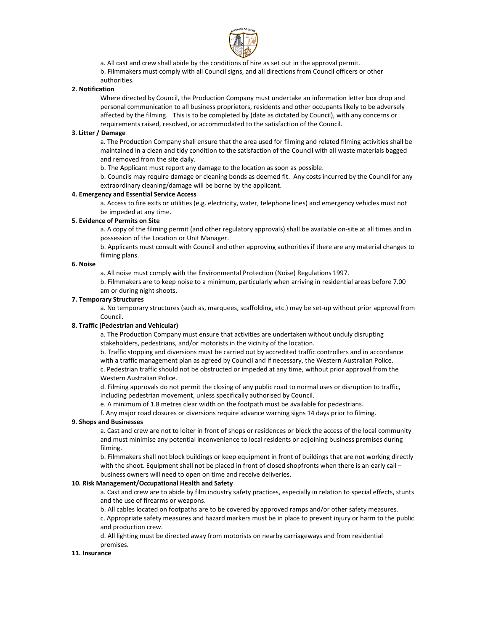

a. All cast and crew shall abide by the conditions of hire as set out in the approval permit.

b. Filmmakers must comply with all Council signs, and all directions from Council officers or other

authorities.

# **2. Notification**

Where directed by Council, the Production Company must undertake an information letter box drop and personal communication to all business proprietors, residents and other occupants likely to be adversely affected by the filming. This is to be completed by (date as dictated by Council), with any concerns or requirements raised, resolved, or accommodated to the satisfaction of the Council.

### **3**. **Litter / Damage**

a. The Production Company shall ensure that the area used for filming and related filming activities shall be maintained in a clean and tidy condition to the satisfaction of the Council with all waste materials bagged and removed from the site daily.

b. The Applicant must report any damage to the location as soon as possible.

b. Councils may require damage or cleaning bonds as deemed fit. Any costs incurred by the Council for any extraordinary cleaning/damage will be borne by the applicant.

## **4. Emergency and Essential Service Access**

a. Access to fire exits or utilities (e.g. electricity, water, telephone lines) and emergency vehicles must not be impeded at any time.

## **5. Evidence of Permits on Site**

a. A copy of the filming permit (and other regulatory approvals) shall be available on‐site at all times and in possession of the Location or Unit Manager.

b. Applicants must consult with Council and other approving authorities if there are any material changes to filming plans.

## **6. Noise**

a. All noise must comply with the Environmental Protection (Noise) Regulations 1997.

b. Filmmakers are to keep noise to a minimum, particularly when arriving in residential areas before 7.00 am or during night shoots.

## **7. Temporary Structures**

a. No temporary structures (such as, marquees, scaffolding, etc.) may be set‐up without prior approval from Council.

#### **8. Traffic (Pedestrian and Vehicular)**

a. The Production Company must ensure that activities are undertaken without unduly disrupting stakeholders, pedestrians, and/or motorists in the vicinity of the location.

b. Traffic stopping and diversions must be carried out by accredited traffic controllers and in accordance with a traffic management plan as agreed by Council and if necessary, the Western Australian Police. c. Pedestrian traffic should not be obstructed or impeded at any time, without prior approval from the Western Australian Police.

d. Filming approvals do not permit the closing of any public road to normal uses or disruption to traffic, including pedestrian movement, unless specifically authorised by Council.

e. A minimum of 1.8 metres clear width on the footpath must be available for pedestrians.

f. Any major road closures or diversions require advance warning signs 14 days prior to filming.

#### **9. Shops and Businesses**

a. Cast and crew are not to loiter in front of shops or residences or block the access of the local community and must minimise any potential inconvenience to local residents or adjoining business premises during filming.

b. Filmmakers shall not block buildings or keep equipment in front of buildings that are not working directly with the shoot. Equipment shall not be placed in front of closed shopfronts when there is an early call business owners will need to open on time and receive deliveries.

#### **10. Risk Management/Occupational Health and Safety**

a. Cast and crew are to abide by film industry safety practices, especially in relation to special effects, stunts and the use of firearms or weapons.

b. All cables located on footpaths are to be covered by approved ramps and/or other safety measures.

c. Appropriate safety measures and hazard markers must be in place to prevent injury or harm to the public and production crew.

d. All lighting must be directed away from motorists on nearby carriageways and from residential premises.

#### **11. Insurance**